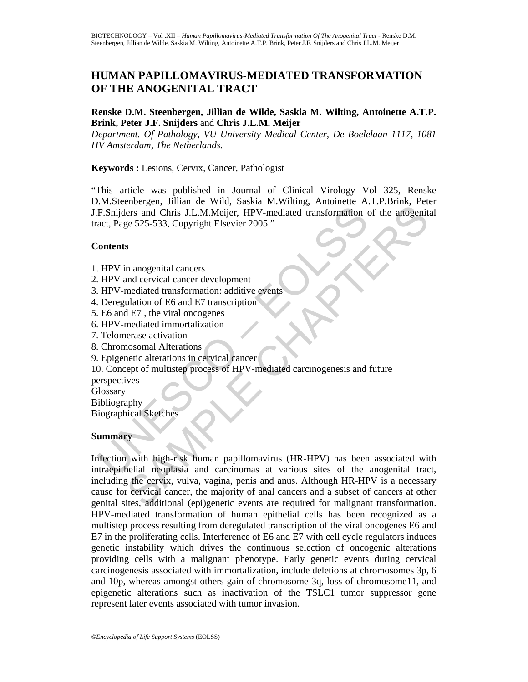## **HUMAN PAPILLOMAVIRUS-MEDIATED TRANSFORMATION OF THE ANOGENITAL TRACT**

#### **Renske D.M. Steenbergen, Jillian de Wilde, Saskia M. Wilting, Antoinette A.T.P. Brink, Peter J.F. Snijders** and **Chris J.L.M. Meijer**

*Department. Of Pathology, VU University Medical Center, De Boelelaan 1117, 1081 HV Amsterdam, The Netherlands.* 

#### **Keywords :** Lesions, Cervix, Cancer, Pathologist

"This article was published in Journal of Clinical Virology Vol 325, Renske D.M.Steenbergen, Jillian de Wild, Saskia M.Wilting, Antoinette A.T.P.Brink, Peter J.F.Snijders and Chris J.L.M.Meijer, HPV-mediated transformation of the anogenital tract, Page 525-533, Copyright Elsevier 2005."

#### **Contents**

- 1. HPV in anogenital cancers
- 2. HPV and cervical cancer development
- 3. HPV-mediated transformation: additive events
- 4. Deregulation of E6 and E7 transcription
- 5. E6 and E7 , the viral oncogenes
- 6. HPV-mediated immortalization
- 7. Telomerase activation
- 8. Chromosomal Alterations
- 9. Epigenetic alterations in cervical cancer

## 10. Concept of multistep process of HPV-mediated carcinogenesis and future

perspectives

**Glossary** 

Bibliography Biographical Sketches

#### **Summary**

UNESCO – EOLSS The state of the among the control of the among the state and Chris J.L.M.Meijer, HPV-mediated transformation of the amogenities<br>of the amogenital cancers<br>of the amogenical cancers<br>and cervical cancer are development<br>media Infection with high-risk human papillomavirus (HR-HPV) has been associated with intraepithelial neoplasia and carcinomas at various sites of the anogenital tract, including the cervix, vulva, vagina, penis and anus. Although HR-HPV is a necessary cause for cervical cancer, the majority of anal cancers and a subset of cancers at other genital sites, additional (epi)genetic events are required for malignant transformation. HPV-mediated transformation of human epithelial cells has been recognized as a multistep process resulting from deregulated transcription of the viral oncogenes E6 and E7 in the proliferating cells. Interference of E6 and E7 with cell cycle regulators induces genetic instability which drives the continuous selection of oncogenic alterations providing cells with a malignant phenotype. Early genetic events during cervical carcinogenesis associated with immortalization, include deletions at chromosomes 3p, 6 and 10p, whereas amongst others gain of chromosome 3q, loss of chromosome11, and epigenetic alterations such as inactivation of the TSLC1 tumor suppressor gene represent later events associated with tumor invasion.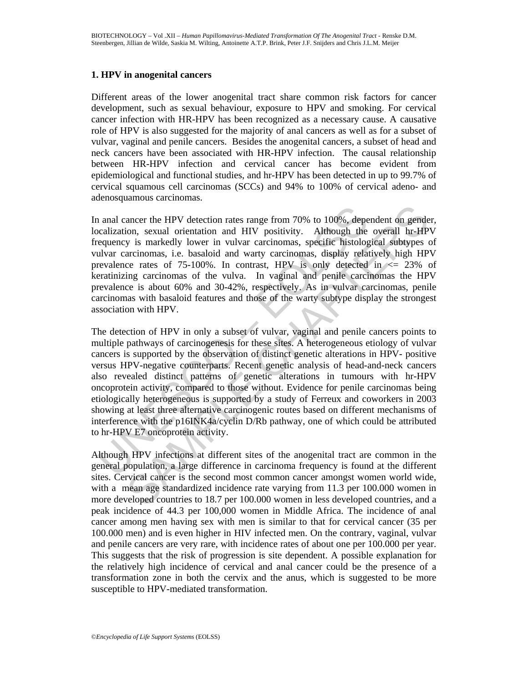#### **1. HPV in anogenital cancers**

Different areas of the lower anogenital tract share common risk factors for cancer development, such as sexual behaviour, exposure to HPV and smoking. For cervical cancer infection with HR-HPV has been recognized as a necessary cause. A causative role of HPV is also suggested for the majority of anal cancers as well as for a subset of vulvar, vaginal and penile cancers. Besides the anogenital cancers, a subset of head and neck cancers have been associated with HR-HPV infection. The causal relationship between HR-HPV infection and cervical cancer has become evident from epidemiological and functional studies, and hr-HPV has been detected in up to 99.7% of cervical squamous cell carcinomas (SCCs) and 94% to 100% of cervical adeno- and adenosquamous carcinomas.

In anal cancer the HPV detection rates range from 70% to 100%, dependent on gender, localization, sexual orientation and HIV positivity. Although the overall hr-HPV frequency is markedly lower in vulvar carcinomas, specific histological subtypes of vulvar carcinomas, i.e. basaloid and warty carcinomas, display relatively high HPV prevalence rates of 75-100%. In contrast, HPV is only detected in  $\leq$  23% of keratinizing carcinomas of the vulva. In vaginal and penile carcinomas the HPV prevalence is about 60% and 30-42%, respectively. As in vulvar carcinomas, penile carcinomas with basaloid features and those of the warty subtype display the strongest association with HPV.

and cancer the HPV detection rates range from 70% to 100%, depocalization, sexual orientation and HIV positivity. Although the equency is markedly lower in vulvar carcinomas, specific histolog<br>ulvar carcinomas, i.e. basalo ancer the HPV detection rates range from 70% to 100%, dependent on gender on, sexual orientation and HIV positivity. Although the overall hr-HP y is markedly lower in vulvar carcinomas, specific histological subtypes carci The detection of HPV in only a subset of vulvar, vaginal and penile cancers points to multiple pathways of carcinogenesis for these sites. A heterogeneous etiology of vulvar cancers is supported by the observation of distinct genetic alterations in HPV- positive versus HPV-negative counterparts. Recent genetic analysis of head-and-neck cancers also revealed distinct patterns of genetic alterations in tumours with hr-HPV oncoprotein activity, compared to those without. Evidence for penile carcinomas being etiologically heterogeneous is supported by a study of Ferreux and coworkers in 2003 showing at least three alternative carcinogenic routes based on different mechanisms of interference with the p16INK4a/cyclin D/Rb pathway, one of which could be attributed to hr-HPV E7 oncoprotein activity.

Although HPV infections at different sites of the anogenital tract are common in the general population, a large difference in carcinoma frequency is found at the different sites. Cervical cancer is the second most common cancer amongst women world wide, with a mean age standardized incidence rate varying from 11.3 per 100.000 women in more developed countries to 18.7 per 100.000 women in less developed countries, and a peak incidence of 44.3 per 100,000 women in Middle Africa. The incidence of anal cancer among men having sex with men is similar to that for cervical cancer (35 per 100.000 men) and is even higher in HIV infected men. On the contrary, vaginal, vulvar and penile cancers are very rare, with incidence rates of about one per 100.000 per year. This suggests that the risk of progression is site dependent. A possible explanation for the relatively high incidence of cervical and anal cancer could be the presence of a transformation zone in both the cervix and the anus, which is suggested to be more susceptible to HPV-mediated transformation.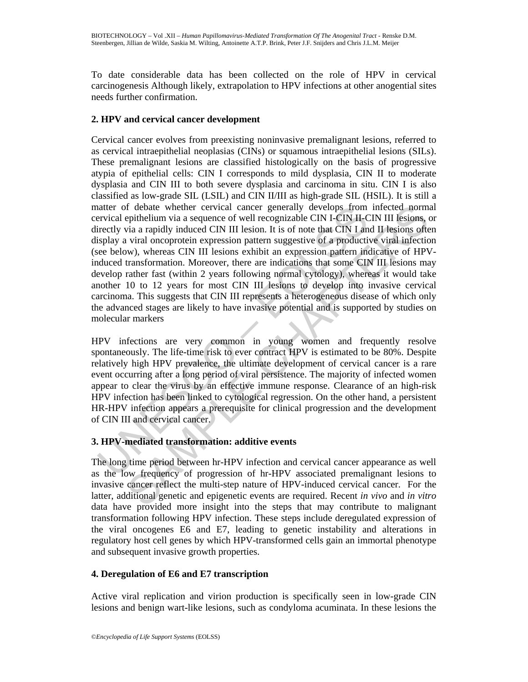To date considerable data has been collected on the role of HPV in cervical carcinogenesis Although likely, extrapolation to HPV infections at other anogential sites needs further confirmation.

#### **2. HPV and cervical cancer development**

and the state whether cervical cancer generally develops from<br>the critical epithelium via a sequence of well recognizable CIN L-CIN H-C<br>irectly via a rapidly induced CIN III lesion. It is of note that CIN Lam<br>isplay a vira f debate whether cervical cancer generally develops from infected norm<br>epithelium via a sequence of well recognizable CIN H-CIN H-CIN HI lesions,<br>tyia a rapidly induced CIN III lesion, It is of note that CIN II and II lesi Cervical cancer evolves from preexisting noninvasive premalignant lesions, referred to as cervical intraepithelial neoplasias (CINs) or squamous intraepithelial lesions (SILs). These premalignant lesions are classified histologically on the basis of progressive atypia of epithelial cells: CIN I corresponds to mild dysplasia, CIN II to moderate dysplasia and CIN III to both severe dysplasia and carcinoma in situ. CIN I is also classified as low-grade SIL (LSIL) and CIN II/III as high-grade SIL (HSIL). It is still a matter of debate whether cervical cancer generally develops from infected normal cervical epithelium via a sequence of well recognizable CIN I-CIN II-CIN III lesions, or directly via a rapidly induced CIN III lesion. It is of note that CIN I and II lesions often display a viral oncoprotein expression pattern suggestive of a productive viral infection (see below), whereas CIN III lesions exhibit an expression pattern indicative of HPVinduced transformation. Moreover, there are indications that some CIN III lesions may develop rather fast (within 2 years following normal cytology), whereas it would take another 10 to 12 years for most CIN III lesions to develop into invasive cervical carcinoma. This suggests that CIN III represents a heterogeneous disease of which only the advanced stages are likely to have invasive potential and is supported by studies on molecular markers

HPV infections are very common in young women and frequently resolve spontaneously. The life-time risk to ever contract HPV is estimated to be 80%. Despite relatively high HPV prevalence, the ultimate development of cervical cancer is a rare event occurring after a long period of viral persistence. The majority of infected women appear to clear the virus by an effective immune response. Clearance of an high-risk HPV infection has been linked to cytological regression. On the other hand, a persistent HR-HPV infection appears a prerequisite for clinical progression and the development of CIN III and cervical cancer.

## **3. HPV-mediated transformation: additive events**

The long time period between hr-HPV infection and cervical cancer appearance as well as the low frequency of progression of hr-HPV associated premalignant lesions to invasive cancer reflect the multi-step nature of HPV-induced cervical cancer. For the latter, additional genetic and epigenetic events are required. Recent *in vivo* and *in vitro* data have provided more insight into the steps that may contribute to malignant transformation following HPV infection. These steps include deregulated expression of the viral oncogenes E6 and E7, leading to genetic instability and alterations in regulatory host cell genes by which HPV-transformed cells gain an immortal phenotype and subsequent invasive growth properties.

## **4. Deregulation of E6 and E7 transcription**

Active viral replication and virion production is specifically seen in low-grade CIN lesions and benign wart-like lesions, such as condyloma acuminata. In these lesions the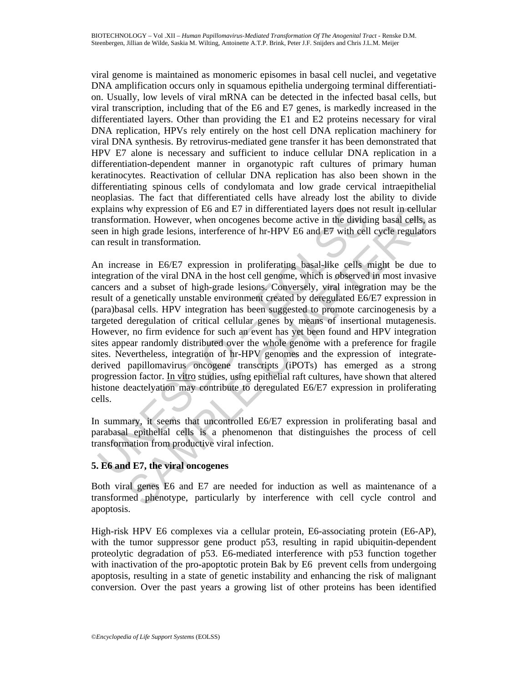viral genome is maintained as monomeric episomes in basal cell nuclei, and vegetative DNA amplification occurs only in squamous epithelia undergoing terminal differentiation. Usually, low levels of viral mRNA can be detected in the infected basal cells, but viral transcription, including that of the E6 and E7 genes, is markedly increased in the differentiated layers. Other than providing the E1 and E2 proteins necessary for viral DNA replication, HPVs rely entirely on the host cell DNA replication machinery for viral DNA synthesis. By retrovirus-mediated gene transfer it has been demonstrated that HPV E7 alone is necessary and sufficient to induce cellular DNA replication in a differentiation-dependent manner in organotypic raft cultures of primary human keratinocytes. Reactivation of cellular DNA replication has also been shown in the differentiating spinous cells of condylomata and low grade cervical intraepithelial neoplasias. The fact that differentiated cells have already lost the ability to divide explains why expression of E6 and E7 in differentiated layers does not result in cellular transformation. However, when oncogenes become active in the dividing basal cells, as seen in high grade lesions, interference of hr-HPV E6 and E7 with cell cycle regulators can result in transformation.

xplains why expression of E6 and E7 in differentiated layers does not ansformation. However, when oncogenes become active in the dividuence in in high grade lesions, inerference of hr-HPV E6 and E7 with cells in result in why expression of E6 and E7 in differentiated layers does not result in cellula<br>nation. However, when oncogenes become active in the dividing basal cells, a<br>igh grade lesions, interference of hr-HPV E6 and E7 with cell cyc An increase in E6/E7 expression in proliferating basal-like cells might be due to integration of the viral DNA in the host cell genome, which is observed in most invasive cancers and a subset of high-grade lesions. Conversely, viral integration may be the result of a genetically unstable environment created by deregulated E6/E7 expression in (para)basal cells. HPV integration has been suggested to promote carcinogenesis by a targeted deregulation of critical cellular genes by means of insertional mutagenesis. However, no firm evidence for such an event has yet been found and HPV integration sites appear randomly distributed over the whole genome with a preference for fragile sites. Nevertheless, integration of hr-HPV genomes and the expression of integratederived papillomavirus oncogene transcripts (iPOTs) has emerged as a strong progression factor. In vitro studies, using epithelial raft cultures, have shown that altered histone deactelyation may contribute to deregulated E6/E7 expression in proliferating cells.

In summary, it seems that uncontrolled E6/E7 expression in proliferating basal and parabasal epithelial cells is a phenomenon that distinguishes the process of cell transformation from productive viral infection.

## **5. E6 and E7, the viral oncogenes**

Both viral genes E6 and E7 are needed for induction as well as maintenance of a transformed phenotype, particularly by interference with cell cycle control and apoptosis.

High-risk HPV E6 complexes via a cellular protein, E6-associating protein (E6-AP), with the tumor suppressor gene product p53, resulting in rapid ubiquitin-dependent proteolytic degradation of p53. E6-mediated interference with p53 function together with inactivation of the pro-apoptotic protein Bak by E6 prevent cells from undergoing apoptosis, resulting in a state of genetic instability and enhancing the risk of malignant conversion. Over the past years a growing list of other proteins has been identified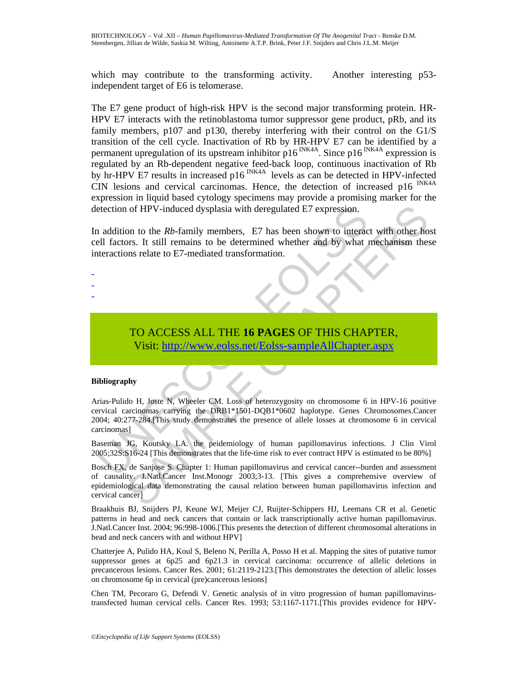which may contribute to the transforming activity. Another interesting p53independent target of E6 is telomerase.

The E7 gene product of high-risk HPV is the second major transforming protein. HR-HPV E7 interacts with the retinoblastoma tumor suppressor gene product, pRb, and its family members, p107 and p130, thereby interfering with their control on the G1/S transition of the cell cycle. Inactivation of Rb by HR-HPV E7 can be identified by a permanent upregulation of its upstream inhibitor  $p16^{INK4A}$ . Since  $p16^{INK4A}$  expression is regulated by an Rb-dependent negative feed-back loop, continuous inactivation of Rb by hr-HPV E7 results in increased p16<sup>INK4A</sup> levels as can be detected in HPV-infected CIN lesions and cervical carcinomas. Hence, the detection of increased  $p16$ <sup>INK4A</sup> expression in liquid based cytology specimens may provide a promising marker for the detection of HPV-induced dysplasia with deregulated E7 expression.

In addition to the *Rb*-family members, E7 has been shown to interact with other host cell factors. It still remains to be determined whether and by what mechanism these interactions relate to E7-mediated transformation.

- -
- -

# TO ACCESS ALL THE **16 PAGES** OF THIS CHAPTER, Visit: http://www.eolss.net/Eolss-sampleAllChapter.aspx

#### **Bibliography**

etection of HPV-induced dysplasia with deregulated E7 expression.<br>
addition to the *Rb*-family members, E7 has been shown to interacted<br>
ell factors. It still remains to be determined whether and by what<br>
tteractions relat of HPV-induced dysplasia with deregulated E7 expression.<br>
on to the *Rb*-family members, E7 has been shown to interact with other hors. It still remains to be determined whether and by what mechanism thes<br>
ons relate to E7 Arias-Pulido H, Joste N, Wheeler CM. Loss of heterozygosity on chromosome 6 in HPV-16 positive cervical carcinomas carrying the DRB1\*1501-DQB1\*0602 haplotype. Genes Chromosomes.Cancer 2004; 40:277-284.[This study demonstrates the presence of allele losses at chromosome 6 in cervical carcinomas]

Baseman JG, Koutsky LA. the peidemiology of human papillomavirus infections. J Clin Virol 2005;32S:S16-24 [This demonstrates that the life-time risk to ever contract HPV is estimated to be 80%]

Bosch FX, de Sanjose S. Chapter 1: Human papillomavirus and cervical cancer--burden and assessment of causality. J.Natl.Cancer Inst.Monogr 2003;3-13. [This gives a comprehensive overview of epidemiological data demonstrating the causal relation between human papillomavirus infection and cervical cancer]

Braakhuis BJ, Snijders PJ, Keune WJ, Meijer CJ, Ruijter-Schippers HJ, Leemans CR et al. Genetic patterns in head and neck cancers that contain or lack transcriptionally active human papillomavirus. J.Natl.Cancer Inst. 2004; 96:998-1006.[This presents the detection of different chromosomal alterations in head and neck cancers with and without HPV]

Chatterjee A, Pulido HA, Koul S, Beleno N, Perilla A, Posso H et al. Mapping the sites of putative tumor suppressor genes at  $6p25$  and  $6p21.3$  in cervical carcinoma: occurrence of allelic deletions in precancerous lesions. Cancer Res. 2001; 61:2119-2123.[This demonstrates the detection of allelic losses on chromosome 6p in cervical (pre)cancerous lesions]

Chen TM, Pecoraro G, Defendi V. Genetic analysis of in vitro progression of human papillomavirustransfected human cervical cells. Cancer Res. 1993; 53:1167-1171.[This provides evidence for HPV-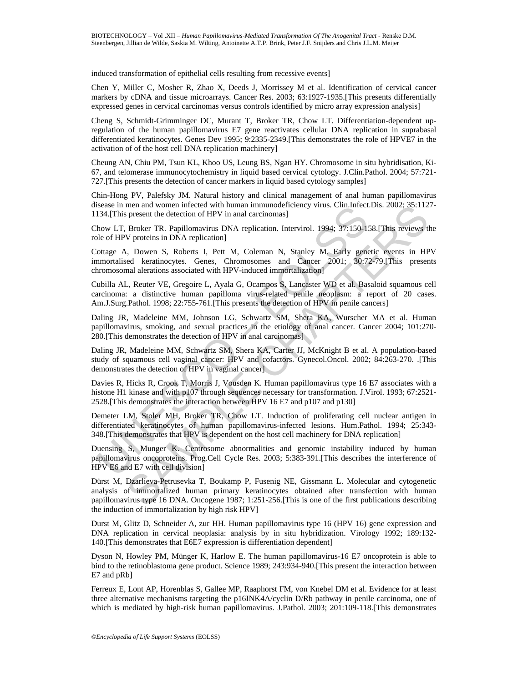induced transformation of epithelial cells resulting from recessive events]

Chen Y, Miller C, Mosher R, Zhao X, Deeds J, Morrissey M et al. Identification of cervical cancer markers by cDNA and tissue microarrays. Cancer Res. 2003; 63:1927-1935.[This presents differentially expressed genes in cervical carcinomas versus controls identified by micro array expression analysis]

Cheng S, Schmidt-Grimminger DC, Murant T, Broker TR, Chow LT. Differentiation-dependent upregulation of the human papillomavirus E7 gene reactivates cellular DNA replication in suprabasal differentiated keratinocytes. Genes Dev 1995; 9:2335-2349.[This demonstrates the role of HPVE7 in the activation of of the host cell DNA replication machinery]

Cheung AN, Chiu PM, Tsun KL, Khoo US, Leung BS, Ngan HY. Chromosome in situ hybridisation, Ki-67, and telomerase immunocytochemistry in liquid based cervical cytology. J.Clin.Pathol. 2004; 57:721- 727.[This presents the detection of cancer markers in liquid based cytology samples]

Chin-Hong PV, Palefsky JM. Natural history and clinical management of anal human papillomavirus disease in men and women infected with human immunodeficiency virus. Clin.Infect.Dis. 2002; 35:1127- 1134.[This present the detection of HPV in anal carcinomas]

Chow LT, Broker TR. Papillomavirus DNA replication. Intervirol. 1994; 37:150-158.[This reviews the role of HPV proteins in DNA replication]

Cottage A, Dowen S, Roberts I, Pett M, Coleman N, Stanley M. Early genetic events in HPV immortalised keratinocytes. Genes, Chromosomes and Cancer 2001; 30:72-79.[This presents chromosomal alerations associated with HPV-induced immortalization]

sees in men and women interested with numan imminonenteiency virus. Cinfi.met<br>cases in men and women interest with numan imminonenteiency virus. Cinfi.<br>How LT, Broker TR. Papillomavinus DNA replication. Intervirol. 1994; 3 Cubilla AL, Reuter VE, Gregoire L, Ayala G, Ocampos S, Lancaster WD et al. Basaloid squamous cell carcinoma: a distinctive human papilloma virus-related penile neoplasm: a report of 20 cases. Am.J.Surg.Pathol. 1998; 22:755-761.[This presents the detection of HPV in penile cancers]

Daling JR, Madeleine MM, Johnson LG, Schwartz SM, Shera KA, Wurscher MA et al. Human papillomavirus, smoking, and sexual practices in the etiology of anal cancer. Cancer 2004; 101:270- 280.[This demonstrates the detection of HPV in anal carcinomas]

Daling JR, Madeleine MM, Schwartz SM, Shera KA, Carter JJ, McKnight B et al. A population-based study of squamous cell vaginal cancer: HPV and cofactors. Gynecol.Oncol. 2002; 84:263-270. .[This demonstrates the detection of HPV in vaginal cancer]

Davies R, Hicks R, Crook T, Morris J, Vousden K. Human papillomavirus type 16 E7 associates with a histone H1 kinase and with p107 through sequences necessary for transformation. J.Virol. 1993; 67:2521- 2528.[This demonstrates the interaction between HPV 16 E7 and p107 and p130]

Demeter LM, Stoler MH, Broker TR, Chow LT. Induction of proliferating cell nuclear antigen in differentiated keratinocytes of human papillomavirus-infected lesions. Hum.Pathol. 1994; 25:343- 348.[This demonstrates that HPV is dependent on the host cell machinery for DNA replication]

Duensing S, Munger K. Centrosome abnormalities and genomic instability induced by human papillomavirus oncoproteins. Prog.Cell Cycle Res. 2003; 5:383-391.[This describes the interference of HPV E6 and E7 with cell division]

men and women intelect with human mmunoderleneory virus. Clin. Intelect. Dis. 2002; 35:112<br>
Broker TR. Papillomavirus DNA replication. Intervirol. 1994; 37:150-158.[This reviews to<br>
V proteins in DNA replication)<br>
Broker T Dürst M, Dzarlieva-Petrusevka T, Boukamp P, Fusenig NE, Gissmann L. Molecular and cytogenetic analysis of immortalized human primary keratinocytes obtained after transfection with human papillomavirus type 16 DNA. Oncogene 1987; 1:251-256.[This is one of the first publications describing the induction of immortalization by high risk HPV]

Durst M, Glitz D, Schneider A, zur HH. Human papillomavirus type 16 (HPV 16) gene expression and DNA replication in cervical neoplasia: analysis by in situ hybridization. Virology 1992; 189:132- 140.[This demonstrates that E6E7 expression is differentiation dependent]

Dyson N, Howley PM, Münger K, Harlow E. The human papillomavirus-16 E7 oncoprotein is able to bind to the retinoblastoma gene product. Science 1989; 243:934-940.[This present the interaction between E7 and pRb]

Ferreux E, Lont AP, Horenblas S, Gallee MP, Raaphorst FM, von Knebel DM et al. Evidence for at least three alternative mechanisms targeting the p16INK4A/cyclin D/Rb pathway in penile carcinoma, one of which is mediated by high-risk human papillomavirus. J.Pathol. 2003; 201:109-118.[This demonstrates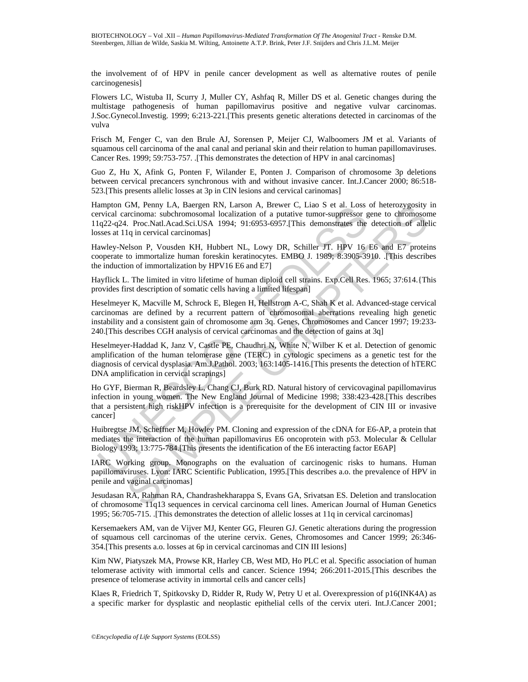the involvement of of HPV in penile cancer development as well as alternative routes of penile carcinogenesis]

Flowers LC, Wistuba II, Scurry J, Muller CY, Ashfaq R, Miller DS et al. Genetic changes during the multistage pathogenesis of human papillomavirus positive and negative vulvar carcinomas. J.Soc.Gynecol.Investig. 1999; 6:213-221.[This presents genetic alterations detected in carcinomas of the vulva

Frisch M, Fenger C, van den Brule AJ, Sorensen P, Meijer CJ, Walboomers JM et al. Variants of squamous cell carcinoma of the anal canal and perianal skin and their relation to human papillomaviruses. Cancer Res. 1999; 59:753-757. .[This demonstrates the detection of HPV in anal carcinomas]

Guo Z, Hu X, Afink G, Ponten F, Wilander E, Ponten J. Comparison of chromosome 3p deletions between cervical precancers synchronous with and without invasive cancer. Int.J.Cancer 2000; 86:518- 523.[This presents allelic losses at 3p in CIN lesions and cervical carinomas]

Hampton GM, Penny LA, Baergen RN, Larson A, Brewer C, Liao S et al. Loss of heterozygosity in cervical carcinoma: subchromosomal localization of a putative tumor-suppressor gene to chromosome 11q22-q24. Proc.Natl.Acad.Sci.USA 1994; 91:6953-6957.[This demonstrates the detection of allelic losses at 11q in cervical carcinomas]

Hawley-Nelson P, Vousden KH, Hubbert NL, Lowy DR, Schiller JT. HPV 16 E6 and E7 proteins cooperate to immortalize human foreskin keratinocytes. EMBO J. 1989; 8:3905-3910. .[This describes the induction of immortalization by HPV16 E6 and E7]

Hayflick L. The limited in vitro lifetime of human diploid cell strains. Exp.Cell Res. 1965; 37:614.{This provides first description of somatic cells having a limited lifespan]

ampton CoM, Penny LA, Baergen KN, Larson A, Brewer C, Lialo S et al. Loss<br>are arcinoma: subchromosomal localization of a putative tumor-suppressor g<br>iq22-q24. Proc.Natl.Acad.Sci.USA 1994; 91:6953-6957.[This demonstrates th CM, Penny LA, Baergan RN, Larson A, Brewer C, Laao St et al. Loss of heterozygosty<br>commons: subchromosonal localization of a putative tumor-suppressor gene to chromoson<br>recinoma: subchromosonal localization of a putative t Heselmeyer K, Macville M, Schrock E, Blegen H, Hellstrom A-C, Shah K et al. Advanced-stage cervical carcinomas are defined by a recurrent pattern of chromosomal aberrations revealing high genetic instability and a consistent gain of chromosome arm 3q. Genes, Chromosomes and Cancer 1997; 19:233- 240.[This describes CGH analysis of cervical carcinomas and the detection of gains at 3q]

Heselmeyer-Haddad K, Janz V, Castle PE, Chaudhri N, White N, Wilber K et al. Detection of genomic amplification of the human telomerase gene (TERC) in cytologic specimens as a genetic test for the diagnosis of cervical dysplasia. Am.J.Pathol. 2003; 163:1405-1416.[This presents the detection of hTERC DNA amplification in cervical scrapings]

Ho GYF, Bierman R, Beardsley L, Chang CJ, Burk RD. Natural history of cervicovaginal papillomavirus infection in young women. The New England Journal of Medicine 1998; 338:423-428.[This describes that a persistent high riskHPV infection is a prerequisite for the development of CIN III or invasive cancer]

Huibregtse JM, Scheffner M, Howley PM. Cloning and expression of the cDNA for E6-AP, a protein that mediates the interaction of the human papillomavirus E6 oncoprotein with p53. Molecular & Cellular Biology 1993; 13:775-784.[This presents the identification of the E6 interacting factor E6AP]

IARC Working group. Monographs on the evaluation of carcinogenic risks to humans. Human papillomaviruses. Lyon: IARC Scientific Publication, 1995.[This describes a.o. the prevalence of HPV in penile and vaginal carcinomas]

Jesudasan RA, Rahman RA, Chandrashekharappa S, Evans GA, Srivatsan ES. Deletion and translocation of chromosome 11q13 sequences in cervical carcinoma cell lines. American Journal of Human Genetics 1995; 56:705-715. .[This demonstrates the detection of allelic losses at 11q in cervical carcinomas]

Kersemaekers AM, van de Vijver MJ, Kenter GG, Fleuren GJ. Genetic alterations during the progression of squamous cell carcinomas of the uterine cervix. Genes, Chromosomes and Cancer 1999; 26:346- 354.[This presents a.o. losses at 6p in cervical carcinomas and CIN III lesions]

Kim NW, Piatyszek MA, Prowse KR, Harley CB, West MD, Ho PLC et al. Specific association of human telomerase activity with immortal cells and cancer. Science 1994; 266:2011-2015.[This describes the presence of telomerase activity in immortal cells and cancer cells]

Klaes R, Friedrich T, Spitkovsky D, Ridder R, Rudy W, Petry U et al. Overexpression of p16(INK4A) as a specific marker for dysplastic and neoplastic epithelial cells of the cervix uteri. Int.J.Cancer 2001;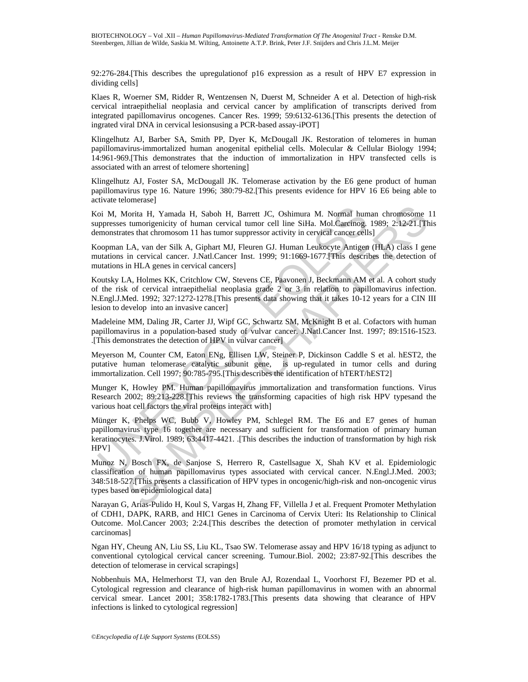92:276-284.[This describes the upregulationof p16 expression as a result of HPV E7 expression in dividing cells]

Klaes R, Woerner SM, Ridder R, Wentzensen N, Duerst M, Schneider A et al. Detection of high-risk cervical intraepithelial neoplasia and cervical cancer by amplification of transcripts derived from integrated papillomavirus oncogenes. Cancer Res. 1999; 59:6132-6136.[This presents the detection of ingrated viral DNA in cervical lesionsusing a PCR-based assay-iPOT]

Klingelhutz AJ, Barber SA, Smith PP, Dyer K, McDougall JK. Restoration of telomeres in human papillomavirus-immortalized human anogenital epithelial cells. Molecular & Cellular Biology 1994; 14:961-969.[This demonstrates that the induction of immortalization in HPV transfected cells is associated with an arrest of telomere shortening]

Klingelhutz AJ, Foster SA, McDougall JK. Telomerase activation by the E6 gene product of human papillomavirus type 16. Nature 1996; 380:79-82.[This presents evidence for HPV 16 E6 being able to activate telomerase]

Koi M, Morita H, Yamada H, Saboh H, Barrett JC, Oshimura M. Normal human chromosome 11 suppresses tumorigenicity of human cervical tumor cell line SiHa. Mol.Carcinog. 1989; 2:12-21.[This demonstrates that chromosom 11 has tumor suppressor activity in cervical cancer cells]

Koopman LA, van der Silk A, Giphart MJ, Fleuren GJ. Human Leukocyte Antigen (HLA) class I gene mutations in cervical cancer. J.Natl.Cancer Inst. 1999; 91:1669-1677.[This describes the detection of mutations in HLA genes in cervical cancers]

Koutsky LA, Holmes KK, Critchlow CW, Stevens CE, Paavonen J, Beckmann AM et al. A cohort study of the risk of cervical intraepithelial neoplasia grade 2 or 3 in relation to papillomavirus infection. N.Engl.J.Med. 1992; 327:1272-1278.[This presents data showing that it takes 10-12 years for a CIN III lesion to develop into an invasive cancer]

Madeleine MM, Daling JR, Carter JJ, Wipf GC, Schwartz SM, McKnight B et al. Cofactors with human papillomavirus in a population-based study of vulvar cancer. J.Natl.Cancer Inst. 1997; 89:1516-1523. .[This demonstrates the detection of HPV in vulvar cancer]

Meyerson M, Counter CM, Eaton ENg, Ellisen LW, Steiner P, Dickinson Caddle S et al. hEST2, the putative human telomerase catalytic subunit gene, is up-regulated in tumor cells and during immortalization. Cell 1997; 90:785-795.[This describes the identification of hTERT/hEST2]

Munger K, Howley PM. Human papillomavirus immortalization and transformation functions. Virus Research 2002; 89:213-228.[This reviews the transforming capacities of high risk HPV typesand the various hoat cell factors the viral proteins interact with]

oi M, Morita H, Yamada H, Saboh H, Barrett JC, Oshimura M. Normal humppresses tumorigenicity of human cervical tumor cell line SiHa. Mol Carcinog,<br>emonstrates that chromosom 11 has tumor suppressor activity in cervical can Ionia H, Yamada H, Saboh H, Barrett JC, Oshimura M. Normal human chromosome Itensites.<br>
tuomojencity of human ervival tunor cell line Sifla. Mol.Carefro.<br>
Its A, van der Siik A, Giphart MJ, Fleuren GJ. Human Leukocyte Anti Münger K, Phelps WC, Bubb V, Howley PM, Schlegel RM. The E6 and E7 genes of human papillomavirus type 16 together are necessary and sufficient for transformation of primary human keratinocytes. J.Virol. 1989; 63:4417-4421. .[This describes the induction of transformation by high risk HPV]

Munoz N, Bosch FX, de Sanjose S, Herrero R, Castellsague X, Shah KV et al. Epidemiologic classification of human papillomavirus types associated with cervical cancer. N.Engl.J.Med. 2003; 348:518-527.[This presents a classification of HPV types in oncogenic/high-risk and non-oncogenic virus types based on epidemiological data]

Narayan G, Arias-Pulido H, Koul S, Vargas H, Zhang FF, Villella J et al. Frequent Promoter Methylation of CDH1, DAPK, RARB, and HIC1 Genes in Carcinoma of Cervix Uteri: Its Relationship to Clinical Outcome. Mol.Cancer 2003; 2:24.[This describes the detection of promoter methylation in cervical carcinomas]

Ngan HY, Cheung AN, Liu SS, Liu KL, Tsao SW. Telomerase assay and HPV 16/18 typing as adjunct to conventional cytological cervical cancer screening. Tumour.Biol. 2002; 23:87-92.[This describes the detection of telomerase in cervical scrapings]

Nobbenhuis MA, Helmerhorst TJ, van den Brule AJ, Rozendaal L, Voorhorst FJ, Bezemer PD et al. Cytological regression and clearance of high-risk human papillomavirus in women with an abnormal cervical smear. Lancet 2001; 358:1782-1783.[This presents data showing that clearance of HPV infections is linked to cytological regression]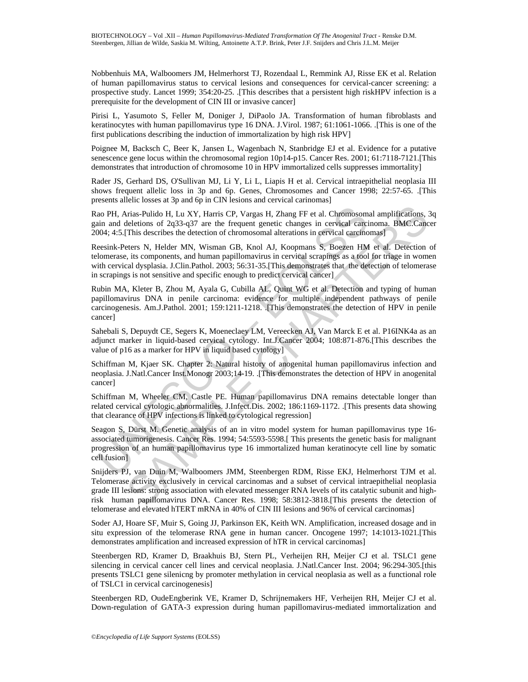Nobbenhuis MA, Walboomers JM, Helmerhorst TJ, Rozendaal L, Remmink AJ, Risse EK et al. Relation of human papillomavirus status to cervical lesions and consequences for cervical-cancer screening: a prospective study. Lancet 1999; 354:20-25. .[This describes that a persistent high riskHPV infection is a prerequisite for the development of CIN III or invasive cancer]

Pirisi L, Yasumoto S, Feller M, Doniger J, DiPaolo JA. Transformation of human fibroblasts and keratinocytes with human papillomavirus type 16 DNA. J.Virol. 1987; 61:1061-1066. .[This is one of the first publications describing the induction of immortalization by high risk HPV]

Poignee M, Backsch C, Beer K, Jansen L, Wagenbach N, Stanbridge EJ et al. Evidence for a putative senescence gene locus within the chromosomal region 10p14-p15. Cancer Res. 2001; 61:7118-7121.[This demonstrates that introduction of chromosome 10 in HPV immortalized cells suppresses immortality]

Rader JS, Gerhard DS, O'Sullivan MJ, Li Y, Li L, Liapis H et al. Cervical intraepithelial neoplasia III shows frequent allelic loss in 3p and 6p. Genes, Chromosomes and Cancer 1998; 22:57-65. .[This presents allelic losses at 3p and 6p in CIN lesions and cervical carinomas]

Rao PH, Arias-Pulido H, Lu XY, Harris CP, Vargas H, Zhang FF et al. Chromosomal amplifications, 3q gain and deletions of 2q33-q37 are the frequent genetic changes in cervical carcinoma. BMC.Cancer 2004; 4:5.[This describes the detection of chromosomal alterations in cervical carcinomas]

Reesink-Peters N, Helder MN, Wisman GB, Knol AJ, Koopmans S, Boezen HM et al. Detection of telomerase, its components, and human papillomavirus in cervical scrapings as a tool for triage in women with cervical dysplasia. J.Clin.Pathol. 2003; 56:31-35.[This demonstrates that the detection of telomerase in scrapings is not sensitive and specific enough to predict cervical cancer]

ao PH, Arias-Pulido H, Lu XY, Harris CP, Vargas H, Zhang FF et al. Chromosom<br>in and deletions of 2q33-q37 are the frequent genetic changes in cervical carci<br>004; 4:5.[This describes the detection of chromosomal alterations Rubin MA, Kleter B, Zhou M, Ayala G, Cubilla AL, Quint WG et al. Detection and typing of human papillomavirus DNA in penile carcinoma: evidence for multiple independent pathways of penile carcinogenesis. Am.J.Pathol. 2001; 159:1211-1218. .[This demonstrates the detection of HPV in penile cancer]

Sahebali S, Depuydt CE, Segers K, Moeneclaey LM, Vereecken AJ, Van Marck E et al. P16INK4a as an adjunct marker in liquid-based cervical cytology. Int.J.Cancer 2004; 108:871-876.[This describes the value of p16 as a marker for HPV in liquid based cytology]

Schiffman M, Kjaer SK. Chapter 2: Natural history of anogenital human papillomavirus infection and neoplasia. J.Natl.Cancer Inst.Monogr 2003;14-19. .[This demonstrates the detection of HPV in anogenital cancer]

Schiffman M, Wheeler CM, Castle PE. Human papillomavirus DNA remains detectable longer than related cervical cytologic abnormalities. J.Infect.Dis. 2002; 186:1169-1172. .[This presents data showing that clearance of HPV infections is linked to cytological regression]

Seagon S, Dürst M. Genetic analysis of an in vitro model system for human papillomavirus type 16 associated tumorigenesis. Cancer Res. 1994; 54:5593-5598.[ This presents the genetic basis for malignant progression of an human papillomavirus type 16 immortalized human keratinocyte cell line by somatic cell fusion]

rias-Pulido H, Lu XY, Harris CP, Vargas H, Zhang FF et al. Chromosonnal amplifications, 2<br>
cleletions of 2q3-3q37 are the frequent genetic changes in cervical cartismons. BMC.<br>Cancelinetions of 2q3-3q37 are the frequent ge Snijders PJ, van Duin M, Walboomers JMM, Steenbergen RDM, Risse EKJ, Helmerhorst TJM et al. Telomerase activity exclusively in cervical carcinomas and a subset of cervical intraepithelial neoplasia grade III lesions: strong association with elevated messenger RNA levels of its catalytic subunit and highrisk human papillomavirus DNA. Cancer Res. 1998; 58:3812-3818.[This presents the detection of telomerase and elevated hTERT mRNA in 40% of CIN III lesions and 96% of cervical carcinomas]

Soder AJ, Hoare SF, Muir S, Going JJ, Parkinson EK, Keith WN. Amplification, increased dosage and in situ expression of the telomerase RNA gene in human cancer. Oncogene 1997; 14:1013-1021.[This demonstrates amplification and increased expression of hTR in cervical carcinomas]

Steenbergen RD, Kramer D, Braakhuis BJ, Stern PL, Verheijen RH, Meijer CJ et al. TSLC1 gene silencing in cervical cancer cell lines and cervical neoplasia. J.Natl.Cancer Inst. 2004; 96:294-305.[this presents TSLC1 gene silenicng by promoter methylation in cervical neoplasia as well as a functional role of TSLC1 in cervical carcinogenesis]

Steenbergen RD, OudeEngberink VE, Kramer D, Schrijnemakers HF, Verheijen RH, Meijer CJ et al. Down-regulation of GATA-3 expression during human papillomavirus-mediated immortalization and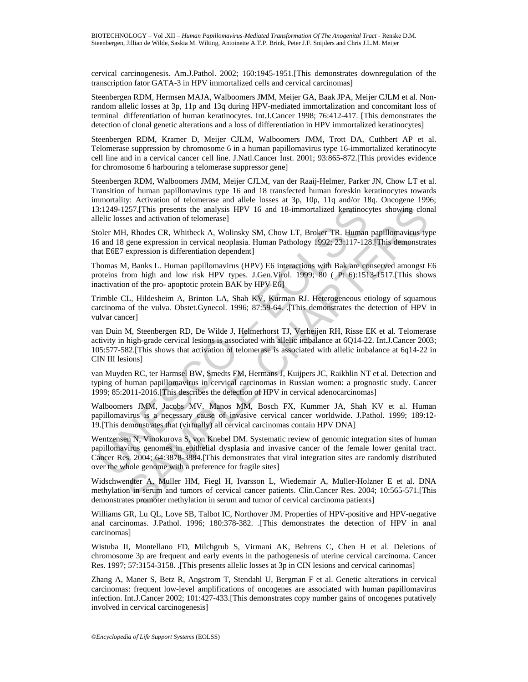cervical carcinogenesis. Am.J.Pathol. 2002; 160:1945-1951.[This demonstrates downregulation of the transcription fator GATA-3 in HPV immortalized cells and cervical carcinomas]

Steenbergen RDM, Hermsen MAJA, Walboomers JMM, Meijer GA, Baak JPA, Meijer CJLM et al. Nonrandom allelic losses at 3p, 11p and 13q during HPV-mediated immortalization and concomitant loss of terminal differentiation of human keratinocytes. Int.J.Cancer 1998; 76:412-417. [This demonstrates the detection of clonal genetic alterations and a loss of differentiation in HPV immortalized keratinocytes]

Steenbergen RDM, Kramer D, Meijer CJLM, Walboomers JMM, Trott DA, Cuthbert AP et al. Telomerase suppression by chromosome 6 in a human papillomavirus type 16-immortalized keratinocyte cell line and in a cervical cancer cell line. J.Natl.Cancer Inst. 2001; 93:865-872.[This provides evidence for chromosome 6 harbouring a telomerase suppressor gene]

Steenbergen RDM, Walboomers JMM, Meijer CJLM, van der Raaij-Helmer, Parker JN, Chow LT et al. Transition of human papillomavirus type 16 and 18 transfected human foreskin keratinocytes towards immortality: Activation of telomerase and allele losses at 3p, 10p, 11q and/or 18q. Oncogene 1996; 13:1249-1257.[This presents the analysis HPV 16 and 18-immortalized keratinocytes showing clonal allelic losses and activation of telomerase]

Stoler MH, Rhodes CR, Whitbeck A, Wolinsky SM, Chow LT, Broker TR. Human papillomavirus type 16 and 18 gene expression in cervical neoplasia. Human Pathology 1992; 23:117-128.[This demonstrates that E6E7 expression is differentiation dependent]

Thomas M, Banks L. Human papillomavirus (HPV) E6 interactions with Bak are conserved amongst E6 proteins from high and low risk HPV types. J.Gen.Virol. 1999; 80 ( Pt 6):1513-1517.[This shows inactivation of the pro- apoptotic protein BAK by HPV E6]

Trimble CL, Hildesheim A, Brinton LA, Shah KV, Kurman RJ. Heterogeneous etiology of squamous carcinoma of the vulva. Obstet.Gynecol. 1996; 87:59-64. .[This demonstrates the detection of HPV in vulvar cancer]

van Duin M, Steenbergen RD, De Wilde J, Helmerhorst TJ, Verheijen RH, Risse EK et al. Telomerase activity in high-grade cervical lesions is associated with allelic imbalance at 6Q14-22. Int.J.Cancer 2003; 105:577-582.[This shows that activation of telomerase is associated with allelic imbalance at 6q14-22 in CIN III lesions]

van Muyden RC, ter Harmsel BW, Smedts FM, Hermans J, Kuijpers JC, Raikhlin NT et al. Detection and typing of human papillomavirus in cervical carcinomas in Russian women: a prognostic study. Cancer 1999; 85:2011-2016.[This describes the detection of HPV in cervical adenocarcinomas]

Walboomers JMM, Jacobs MV, Manos MM, Bosch FX, Kummer JA, Shah KV et al. Human papillomavirus is a necessary cause of invasive cervical cancer worldwide. J.Pathol. 1999; 189:12- 19.[This demonstrates that (virtually) all cervical carcinomas contain HPV DNA]

3:1249-1257.[This presents the analysis HPV 16 and 18-immortalized keratinocy-<br>eleic losses and activation of telomerase]<br>eleic Dosses and activation of telomerase]<br>of the Rhodes CR, Whitheek A, Wolinsky SM, Chow LT, Broke 257.[This presents the analysis HPV 16 and 18-immortalized keratinocytes showing clon<br>
as and activation of telomerase]<br>
cs and activation of the metrical metrical metrical metrical metrical metrical metrical metrical metr Wentzensen N, Vinokurova S, von Knebel DM. Systematic review of genomic integration sites of human papillomavirus genomes in epithelial dysplasia and invasive cancer of the female lower genital tract. Cancer Res. 2004; 64:3878-3884.[This demonstrates that viral integration sites are randomly distributed over the whole genome with a preference for fragile sites]

Widschwendter A, Muller HM, Fiegl H, Ivarsson L, Wiedemair A, Muller-Holzner E et al. DNA methylation in serum and tumors of cervical cancer patients. Clin.Cancer Res. 2004; 10:565-571.[This demonstrates promoter methylation in serum and tumor of cervical carcinoma patients]

Williams GR, Lu QL, Love SB, Talbot IC, Northover JM. Properties of HPV-positive and HPV-negative anal carcinomas. J.Pathol. 1996; 180:378-382. .[This demonstrates the detection of HPV in anal carcinomas]

Wistuba II, Montellano FD, Milchgrub S, Virmani AK, Behrens C, Chen H et al. Deletions of chromosome 3p are frequent and early events in the pathogenesis of uterine cervical carcinoma. Cancer Res. 1997; 57:3154-3158. .[This presents allelic losses at 3p in CIN lesions and cervical carinomas]

Zhang A, Maner S, Betz R, Angstrom T, Stendahl U, Bergman F et al. Genetic alterations in cervical carcinomas: frequent low-level amplifications of oncogenes are associated with human papillomavirus infection. Int.J.Cancer 2002; 101:427-433.[This demonstrates copy number gains of oncogenes putatively involved in cervical carcinogenesis]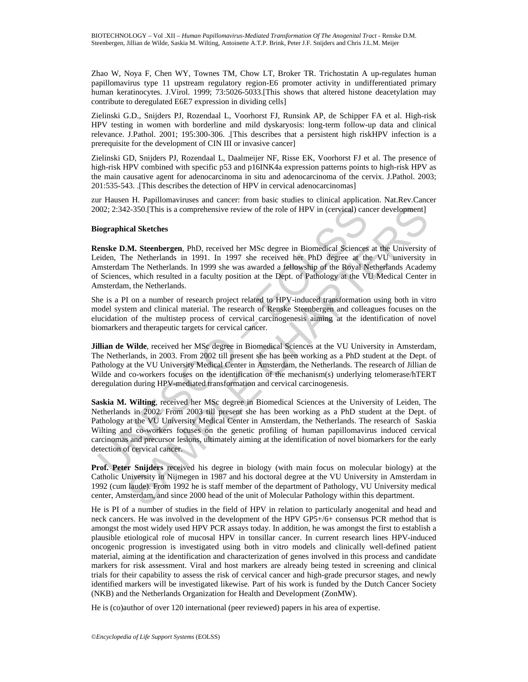Zhao W, Noya F, Chen WY, Townes TM, Chow LT, Broker TR. Trichostatin A up-regulates human papillomavirus type 11 upstream regulatory region-E6 promoter activity in undifferentiated primary human keratinocytes. J.Virol. 1999; 73:5026-5033. This shows that altered histone deacetylation may contribute to deregulated E6E7 expression in dividing cells]

Zielinski G.D., Snijders PJ, Rozendaal L, Voorhorst FJ, Runsink AP, de Schipper FA et al. High-risk HPV testing in women with borderline and mild dyskaryosis: long-term follow-up data and clinical relevance. J.Pathol. 2001; 195:300-306. .[This describes that a persistent high riskHPV infection is a prerequisite for the development of CIN III or invasive cancer]

Zielinski GD, Snijders PJ, Rozendaal L, Daalmeijer NF, Risse EK, Voorhorst FJ et al. The presence of high-risk HPV combined with specific p53 and p16INK4a expression patterns points to high-risk HPV as the main causative agent for adenocarcinoma in situ and adenocarcinoma of the cervix. J.Pathol. 2003; 201:535-543. .[This describes the detection of HPV in cervical adenocarcinomas]

zur Hausen H. Papillomaviruses and cancer: from basic studies to clinical application. Nat.Rev.Cancer 2002; 2:342-350.[This is a comprehensive review of the role of HPV in (cervical) cancer development]

#### **Biographical Sketches**

**Renske D.M. Steenbergen**, PhD, received her MSc degree in Biomedical Sciences at the University of Leiden, The Netherlands in 1991. In 1997 she received her PhD degree at the VU university in Amsterdam The Netherlands. In 1999 she was awarded a fellowship of the Royal Netherlands Academy of Sciences, which resulted in a faculty position at the Dept. of Pathology at the VU Medical Center in Amsterdam, the Netherlands.

She is a PI on a number of research project related to HPV-induced transformation using both in vitro model system and clinical material. The research of Renske Steenbergen and colleagues focuses on the elucidation of the multistep process of cervical carcinogenesis aiming at the identification of novel biomarkers and therapeutic targets for cervical cancer.

**Jillian de Wilde**, received her MSc degree in Biomedical Sciences at the VU University in Amsterdam, The Netherlands, in 2003. From 2002 till present she has been working as a PhD student at the Dept. of Pathology at the VU University Medical Center in Amsterdam, the Netherlands. The research of Jillian de Wilde and co-workers focuses on the identification of the mechanism(s) underlying telomerase/hTERT deregulation during HPV-mediated transformation and cervical carcinogenesis.

002; 2:342-350.[This is a comprehensive review of the role of HPV in (cervical) can<br>
oigraphical Sketches<br>
enske D.M. Steenbergen, PhD, received her MSc degree in Biomedical Sciences<br>
eiden, The Netherlands. In 1991. In 19 2-350.[This is a comprehensive review of the role of HPV in (cervical) cancer development]<br>cal Sketches<br>M. Steenhergen, PhD, received her MSc degree in Biomedical Sciences at the University<br>he Netherlands in 1991. In 1997 **Saskia M. Wilting**, received her MSc degree in Biomedical Sciences at the University of Leiden, The Netherlands in 2002. From 2003 till present she has been working as a PhD student at the Dept. of Pathology at the VU University Medical Center in Amsterdam, the Netherlands. The research of Saskia Wilting and co-workers focuses on the genetic profiling of human papillomavirus induced cervical carcinomas and precursor lesions, ultimately aiming at the identification of novel biomarkers for the early detection of cervical cancer.

**Prof. Peter Snijders** received his degree in biology (with main focus on molecular biology) at the Catholic University in Nijmegen in 1987 and his doctoral degree at the VU University in Amsterdam in 1992 (cum laude). From 1992 he is staff member of the department of Pathology, VU University medical center, Amsterdam, and since 2000 head of the unit of Molecular Pathology within this department.

He is PI of a number of studies in the field of HPV in relation to particularly anogenital and head and neck cancers. He was involved in the development of the HPV GP5+/6+ consensus PCR method that is amongst the most widely used HPV PCR assays today. In addition, he was amongst the first to establish a plausible etiological role of mucosal HPV in tonsillar cancer. In current research lines HPV-induced oncogenic progression is investigated using both in vitro models and clinically well-defined patient material, aiming at the identification and characterization of genes involved in this process and candidate markers for risk assessment. Viral and host markers are already being tested in screening and clinical trials for their capability to assess the risk of cervical cancer and high-grade precursor stages, and newly identified markers will be investigated likewise. Part of his work is funded by the Dutch Cancer Society (NKB) and the Netherlands Organization for Health and Development (ZonMW).

He is (co)author of over 120 international (peer reviewed) papers in his area of expertise.